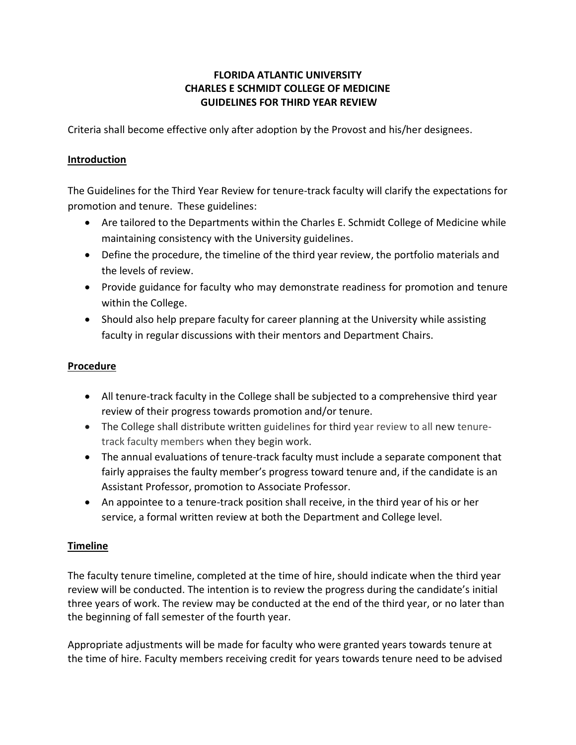## **FLORIDA ATLANTIC UNIVERSITY CHARLES E SCHMIDT COLLEGE OF MEDICINE GUIDELINES FOR THIRD YEAR REVIEW**

Criteria shall become effective only after adoption by the Provost and his/her designees.

## **Introduction**

The Guidelines for the Third Year Review for tenure-track faculty will clarify the expectations for promotion and tenure. These guidelines:

- Are tailored to the Departments within the Charles E. Schmidt College of Medicine while maintaining consistency with the University guidelines.
- Define the procedure, the timeline of the third year review, the portfolio materials and the levels of review.
- Provide guidance for faculty who may demonstrate readiness for promotion and tenure within the College.
- Should also help prepare faculty for career planning at the University while assisting faculty in regular discussions with their mentors and Department Chairs.

## **Procedure**

- All tenure-track faculty in the College shall be subjected to a comprehensive third year review of their progress towards promotion and/or tenure.
- The College shall distribute written guidelines for third year review to all new tenuretrack faculty members when they begin work.
- The annual evaluations of tenure-track faculty must include a separate component that fairly appraises the faulty member's progress toward tenure and, if the candidate is an Assistant Professor, promotion to Associate Professor.
- An appointee to a tenure-track position shall receive, in the third year of his or her service, a formal written review at both the Department and College level.

# **Timeline**

The faculty tenure timeline, completed at the time of hire, should indicate when the third year review will be conducted. The intention is to review the progress during the candidate's initial three years of work. The review may be conducted at the end of the third year, or no later than the beginning of fall semester of the fourth year.

Appropriate adjustments will be made for faculty who were granted years towards tenure at the time of hire. Faculty members receiving credit for years towards tenure need to be advised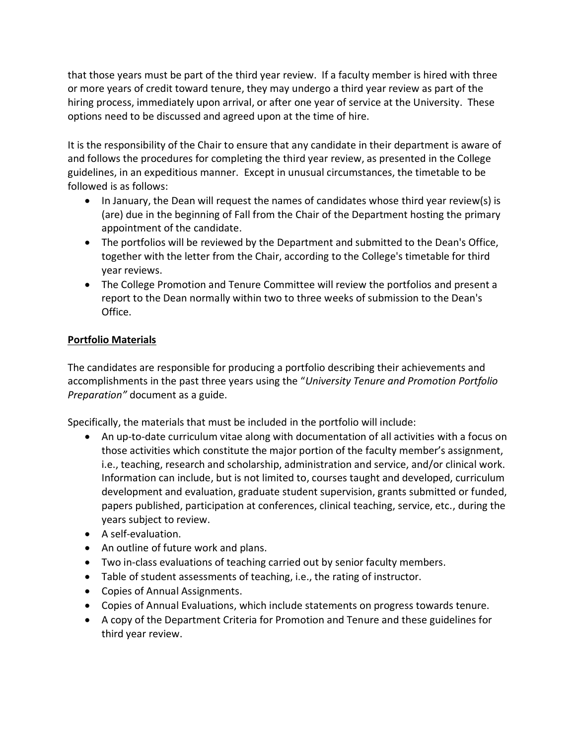that those years must be part of the third year review. If a faculty member is hired with three or more years of credit toward tenure, they may undergo a third year review as part of the hiring process, immediately upon arrival, or after one year of service at the University. These options need to be discussed and agreed upon at the time of hire.

It is the responsibility of the Chair to ensure that any candidate in their department is aware of and follows the procedures for completing the third year review, as presented in the College guidelines, in an expeditious manner. Except in unusual circumstances, the timetable to be followed is as follows:

- In January, the Dean will request the names of candidates whose third year review(s) is (are) due in the beginning of Fall from the Chair of the Department hosting the primary appointment of the candidate.
- The portfolios will be reviewed by the Department and submitted to the Dean's Office, together with the letter from the Chair, according to the College's timetable for third year reviews.
- The College Promotion and Tenure Committee will review the portfolios and present a report to the Dean normally within two to three weeks of submission to the Dean's Office.

# **Portfolio Materials**

The candidates are responsible for producing a portfolio describing their achievements and accomplishments in the past three years using the "*University Tenure and Promotion Portfolio Preparation"* document as a guide.

Specifically, the materials that must be included in the portfolio will include:

- An up-to-date curriculum vitae along with documentation of all activities with a focus on those activities which constitute the major portion of the faculty member's assignment, i.e., teaching, research and scholarship, administration and service, and/or clinical work. Information can include, but is not limited to, courses taught and developed, curriculum development and evaluation, graduate student supervision, grants submitted or funded, papers published, participation at conferences, clinical teaching, service, etc., during the years subject to review.
- A self-evaluation.
- An outline of future work and plans.
- Two in-class evaluations of teaching carried out by senior faculty members.
- Table of student assessments of teaching, i.e., the rating of instructor.
- Copies of Annual Assignments.
- Copies of Annual Evaluations, which include statements on progress towards tenure.
- A copy of the Department Criteria for Promotion and Tenure and these guidelines for third year review.